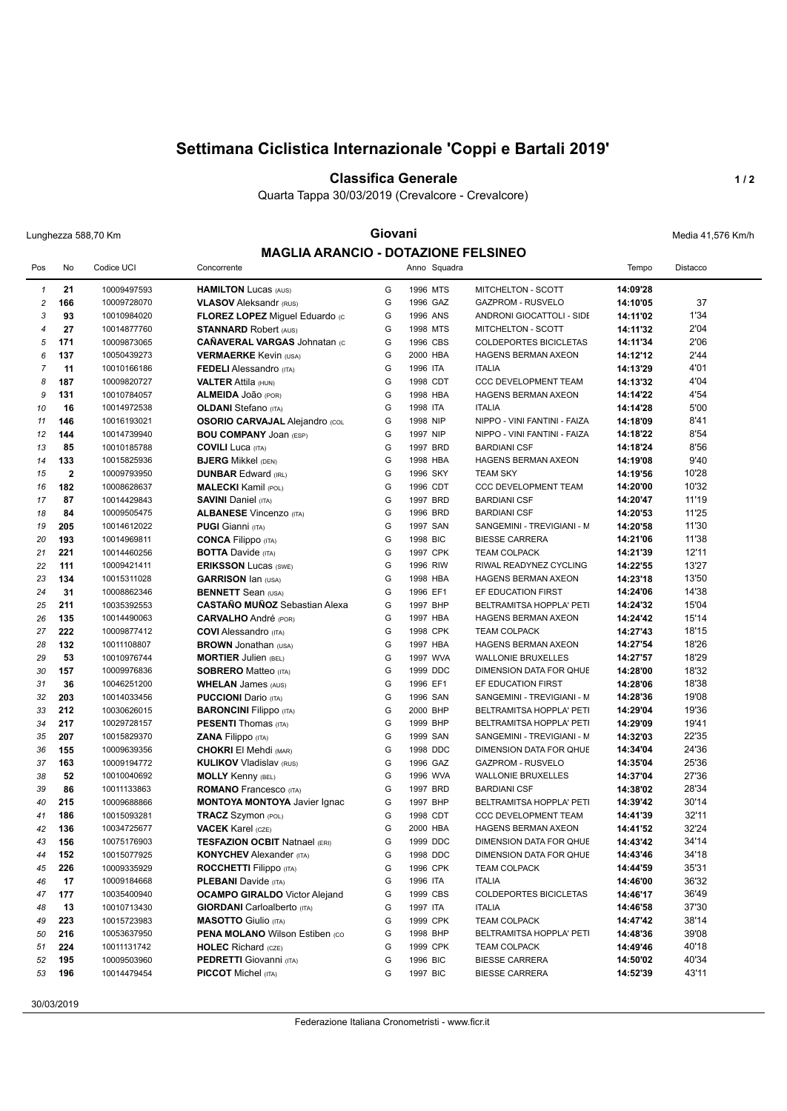# **Settimana Ciclistica Internazionale 'Coppi e Bartali 2019'**

#### **Classifica Generale 1/2**

Quarta Tappa 30/03/2019 (Crevalcore - Crevalcore)

### Lunghezza 588,70 Km **Giovani** Media 41,576 Km/h **MAGLIA ARANCIO - DOTAZIONE FELSINEO**

|                | <b>MAGLIA ARANGIO - DO IAZIONE FELSINEO</b> |             |                                       |        |          |              |                                                    |          |          |  |
|----------------|---------------------------------------------|-------------|---------------------------------------|--------|----------|--------------|----------------------------------------------------|----------|----------|--|
| Pos            | No                                          | Codice UCI  | Concorrente                           |        |          | Anno Squadra |                                                    | Tempo    | Distacco |  |
| $\mathbf{1}$   | 21                                          | 10009497593 | <b>HAMILTON Lucas (AUS)</b>           | G      | 1996 MTS |              | MITCHELTON - SCOTT                                 | 14:09'28 |          |  |
| $\overline{c}$ | 166                                         | 10009728070 | <b>VLASOV</b> Aleksandr (RUS)         | G      | 1996 GAZ |              | <b>GAZPROM - RUSVELO</b>                           | 14:10'05 | 37       |  |
| 3              | 93                                          | 10010984020 | FLOREZ LOPEZ Miguel Eduardo (c        | G      | 1996 ANS |              | ANDRONI GIOCATTOLI - SIDE                          | 14:11'02 | 1'34     |  |
| $\overline{4}$ | 27                                          | 10014877760 | <b>STANNARD Robert (AUS)</b>          | G      | 1998 MTS |              | MITCHELTON - SCOTT                                 | 14:11'32 | 2'04     |  |
| 5              | 171                                         | 10009873065 | <b>CAÑAVERAL VARGAS Johnatan (C)</b>  | G      | 1996 CBS |              | COLDEPORTES BICICLETAS                             | 14:11'34 | 2'06     |  |
| 6              | 137                                         |             |                                       | G      | 2000 HBA |              |                                                    |          | 2'44     |  |
|                |                                             | 10050439273 | <b>VERMAERKE Kevin (USA)</b>          | G      | 1996 ITA |              | HAGENS BERMAN AXEON<br><b>ITALIA</b>               | 14:12'12 |          |  |
| $\overline{7}$ | 11                                          | 10010166186 | <b>FEDELI</b> Alessandro (ITA)        |        |          |              |                                                    | 14:13'29 | 4'01     |  |
| 8              | 187                                         | 10009820727 | <b>VALTER Attila (HUN)</b>            | G<br>G | 1998 CDT |              | CCC DEVELOPMENT TEAM<br><b>HAGENS BERMAN AXEON</b> | 14:13'32 | 4'04     |  |
| 9              | 131                                         | 10010784057 | ALMEIDA JOãO (POR)                    |        | 1998 HBA |              |                                                    | 14:14'22 | 4'54     |  |
| 10             | 16                                          | 10014972538 | <b>OLDANI</b> Stefano (ITA)           | G      | 1998 ITA |              | <b>ITALIA</b>                                      | 14:14'28 | 5'00     |  |
| 11             | 146                                         | 10016193021 | <b>OSORIO CARVAJAL Alejandro (COL</b> | G      | 1998 NIP |              | NIPPO - VINI FANTINI - FAIZA                       | 14:18'09 | 8'41     |  |
| 12             | 144                                         | 10014739940 | <b>BOU COMPANY JOAN (ESP)</b>         | G      | 1997 NIP |              | NIPPO - VINI FANTINI - FAIZA                       | 14:18'22 | 8'54     |  |
| 13             | 85                                          | 10010185788 | <b>COVILI Luca</b> (ITA)              | G      | 1997 BRD |              | <b>BARDIANI CSF</b>                                | 14:18'24 | 8'56     |  |
| 14             | 133                                         | 10015825936 | <b>BJERG</b> Mikkel (DEN)             | G      | 1998 HBA |              | <b>HAGENS BERMAN AXEON</b>                         | 14:19'08 | 9'40     |  |
| 15             | $\mathbf{2}$                                | 10009793950 | <b>DUNBAR Edward (IRL)</b>            | G      | 1996 SKY |              | <b>TEAM SKY</b>                                    | 14:19'56 | 10'28    |  |
| 16             | 182                                         | 10008628637 | <b>MALECKI</b> Kamil (POL)            | G      | 1996 CDT |              | <b>CCC DEVELOPMENT TEAM</b>                        | 14:20'00 | 10'32    |  |
| 17             | 87                                          | 10014429843 | <b>SAVINI Daniel (ITA)</b>            | G      | 1997 BRD |              | <b>BARDIANI CSF</b>                                | 14:20'47 | 11'19    |  |
| 18             | 84                                          | 10009505475 | <b>ALBANESE Vincenzo (ITA)</b>        | G      | 1996 BRD |              | <b>BARDIANI CSF</b>                                | 14:20'53 | 11'25    |  |
| 19             | 205                                         | 10014612022 | <b>PUGI Gianni (ITA)</b>              | G      | 1997 SAN |              | SANGEMINI - TREVIGIANI - M                         | 14:20'58 | 11'30    |  |
| 20             | 193                                         | 10014969811 | <b>CONCA Filippo</b> (ITA)            | G      | 1998 BIC |              | <b>BIESSE CARRERA</b>                              | 14:21'06 | 11'38    |  |
| 21             | 221                                         | 10014460256 | <b>BOTTA Davide (ITA)</b>             | G      | 1997 CPK |              | <b>TEAM COLPACK</b>                                | 14:21'39 | 12'11    |  |
| 22             | 111                                         | 10009421411 | <b>ERIKSSON Lucas (SWE)</b>           | G      | 1996 RIW |              | RIWAL READYNEZ CYCLING                             | 14:22'55 | 13'27    |  |
| 23             | 134                                         | 10015311028 | <b>GARRISON Ian (USA)</b>             | G      | 1998 HBA |              | HAGENS BERMAN AXEON                                | 14:23'18 | 13'50    |  |
| 24             | 31                                          | 10008862346 | <b>BENNETT</b> Sean (USA)             | G      | 1996 EF1 |              | EF EDUCATION FIRST                                 | 14:24'06 | 14'38    |  |
| 25             | 211                                         | 10035392553 | <b>CASTAÑO MUÑOZ</b> Sebastian Alexa  | G      | 1997 BHP |              | BELTRAMITSA HOPPLA' PETI                           | 14:24'32 | 15'04    |  |
| 26             | 135                                         | 10014490063 | <b>CARVALHO</b> André (POR)           | G      | 1997 HBA |              | <b>HAGENS BERMAN AXEON</b>                         | 14:24'42 | 15'14    |  |
| 27             | 222                                         | 10009877412 | <b>COVI</b> Alessandro (ITA)          | G      | 1998 CPK |              | <b>TEAM COLPACK</b>                                | 14:27'43 | 18'15    |  |
| 28             | 132                                         | 10011108807 | <b>BROWN</b> Jonathan (USA)           | G      | 1997 HBA |              | HAGENS BERMAN AXEON                                | 14:27'54 | 18'26    |  |
| 29             | 53                                          | 10010976744 | <b>MORTIER Julien (BEL)</b>           | G      | 1997 WVA |              | <b>WALLONIE BRUXELLES</b>                          | 14:27'57 | 18'29    |  |
| 30             | 157                                         | 10009976836 | <b>SOBRERO Matteo (ITA)</b>           | G      | 1999 DDC |              | DIMENSION DATA FOR QHUE                            | 14:28'00 | 18'32    |  |
| 31             | 36                                          | 10046251200 | <b>WHELAN James (AUS)</b>             | G      | 1996 EF1 |              | EF EDUCATION FIRST                                 | 14:28'06 | 18'38    |  |
| 32             | 203                                         | 10014033456 | <b>PUCCIONI</b> Dario (ITA)           | G      | 1996 SAN |              | SANGEMINI - TREVIGIANI - M                         | 14:28'36 | 19'08    |  |
| 33             | 212                                         | 10030626015 | <b>BARONCINI Filippo (ITA)</b>        | G      | 2000 BHP |              | BELTRAMITSA HOPPLA' PETI                           | 14:29'04 | 19'36    |  |
| 34             | 217                                         | 10029728157 | <b>PESENTI</b> Thomas (ITA)           | G      | 1999 BHP |              | BELTRAMITSA HOPPLA' PETI                           | 14:29'09 | 19'41    |  |
| 35             | 207                                         | 10015829370 | ZANA Filippo (ITA)                    | G      | 1999 SAN |              | SANGEMINI - TREVIGIANI - M                         | 14:32'03 | 22'35    |  |
| 36             | 155                                         | 10009639356 | <b>CHOKRI</b> El Mehdi (MAR)          | G      | 1998 DDC |              | DIMENSION DATA FOR QHUE                            | 14:34'04 | 24'36    |  |
| 37             | 163                                         | 10009194772 | <b>KULIKOV Vladislav (RUS)</b>        | G      | 1996 GAZ |              | <b>GAZPROM - RUSVELO</b>                           | 14:35'04 | 25'36    |  |
| 38             | 52                                          | 10010040692 | <b>MOLLY Kenny (BEL)</b>              | G      | 1996 WVA |              | <b>WALLONIE BRUXELLES</b>                          | 14:37'04 | 27'36    |  |
| 39             | 86                                          | 10011133863 | <b>ROMANO</b> Francesco (ITA)         | G      | 1997 BRD |              | <b>BARDIANI CSF</b>                                | 14:38'02 | 28'34    |  |
| 40             | 215                                         | 10009688866 | <b>MONTOYA MONTOYA Javier Ignac</b>   | G      | 1997 BHP |              | BELTRAMITSA HOPPLA' PETI                           | 14:39'42 | 30'14    |  |
| 41             | 186                                         | 10015093281 | TRACZ Szymon (POL)                    | G      | 1998 CDT |              | <b>CCC DEVELOPMENT TEAM</b>                        | 14:41'39 | 32'11    |  |
| 42             | 136                                         | 10034725677 | <b>VACEK Karel (CZE)</b>              | G      | 2000 HBA |              | HAGENS BERMAN AXEON                                | 14:41'52 | 32'24    |  |
| 43             | 156                                         | 10075176903 | <b>TESFAZION OCBIT Natnael (ERI)</b>  | G      | 1999 DDC |              | DIMENSION DATA FOR QHUE                            | 14:43'42 | 34'14    |  |
| 44             | 152                                         | 10015077925 | <b>KONYCHEV</b> Alexander (ITA)       | G      | 1998 DDC |              | DIMENSION DATA FOR QHUE                            | 14:43'46 | 34'18    |  |
| 45             | 226                                         | 10009335929 | <b>ROCCHETTI Filippo</b> (ITA)        | G      | 1996 CPK |              | <b>TEAM COLPACK</b>                                | 14:44'59 | 35'31    |  |
| 46             | 17                                          | 10009184668 | <b>PLEBANI</b> Davide (ITA)           | G      | 1996 ITA |              | <b>ITALIA</b>                                      | 14:46'00 | 36'32    |  |
| 47             | 177                                         | 10035400940 | <b>OCAMPO GIRALDO</b> Victor Alejand  | G      | 1999 CBS |              | COLDEPORTES BICICLETAS                             | 14:46'17 | 36'49    |  |
| 48             | 13                                          | 10010713430 | <b>GIORDANI</b> Carloalberto (ITA)    | G      | 1997 ITA |              | <b>ITALIA</b>                                      | 14:46'58 | 37'30    |  |
| 49             | 223                                         | 10015723983 | <b>MASOTTO</b> Giulio (ITA)           | G      | 1999 CPK |              | <b>TEAM COLPACK</b>                                | 14:47'42 | 38'14    |  |
| 50             | 216                                         | 10053637950 | PENA MOLANO Wilson Estiben (CO        | G      | 1998 BHP |              | BELTRAMITSA HOPPLA' PETI                           | 14:48'36 | 39'08    |  |
| 51             | 224                                         | 10011131742 | <b>HOLEC</b> Richard (CZE)            | G      | 1999 CPK |              | <b>TEAM COLPACK</b>                                | 14:49'46 | 40'18    |  |
| 52             | 195                                         | 10009503960 | <b>PEDRETTI</b> Giovanni (ITA)        | G      | 1996 BIC |              | <b>BIESSE CARRERA</b>                              | 14:50'02 | 40'34    |  |
| 53             | 196                                         | 10014479454 | <b>PICCOT</b> Michel (ITA)            | G      | 1997 BIC |              | <b>BIESSE CARRERA</b>                              | 14:52'39 | 43'11    |  |